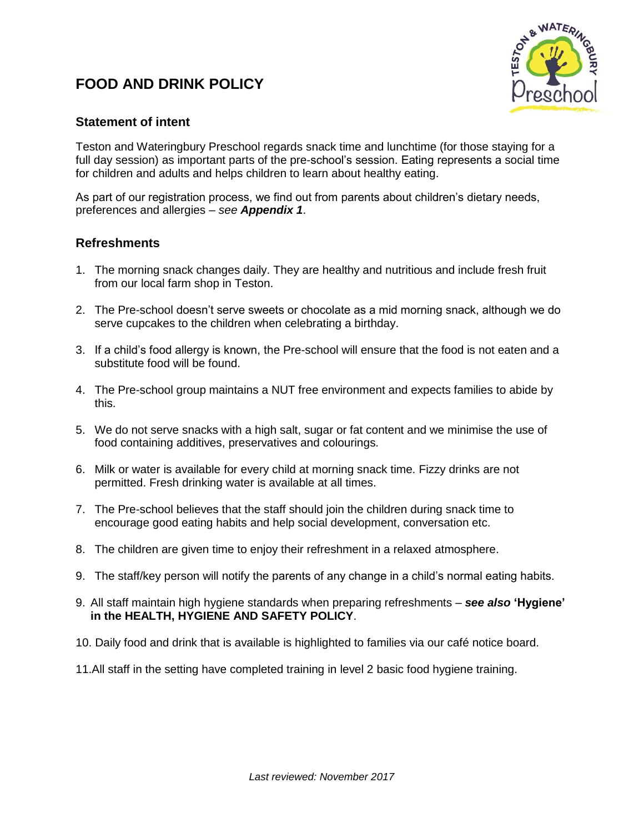# **FOOD AND DRINK POLICY**



## **Statement of intent**

Teston and Wateringbury Preschool regards snack time and lunchtime (for those staying for a full day session) as important parts of the pre-school's session. Eating represents a social time for children and adults and helps children to learn about healthy eating.

As part of our registration process, we find out from parents about children's dietary needs, preferences and allergies – *see Appendix 1*.

## **Refreshments**

- 1. The morning snack changes daily. They are healthy and nutritious and include fresh fruit from our local farm shop in Teston.
- 2. The Pre-school doesn't serve sweets or chocolate as a mid morning snack, although we do serve cupcakes to the children when celebrating a birthday.
- 3. If a child's food allergy is known, the Pre-school will ensure that the food is not eaten and a substitute food will be found.
- 4. The Pre-school group maintains a NUT free environment and expects families to abide by this.
- 5. We do not serve snacks with a high salt, sugar or fat content and we minimise the use of food containing additives, preservatives and colourings.
- 6. Milk or water is available for every child at morning snack time. Fizzy drinks are not permitted. Fresh drinking water is available at all times.
- 7. The Pre-school believes that the staff should join the children during snack time to encourage good eating habits and help social development, conversation etc.
- 8. The children are given time to enjoy their refreshment in a relaxed atmosphere.
- 9. The staff/key person will notify the parents of any change in a child's normal eating habits.
- 9. All staff maintain high hygiene standards when preparing refreshments *see also* **'Hygiene' in the HEALTH, HYGIENE AND SAFETY POLICY**.
- 10. Daily food and drink that is available is highlighted to families via our café notice board.
- 11.All staff in the setting have completed training in level 2 basic food hygiene training.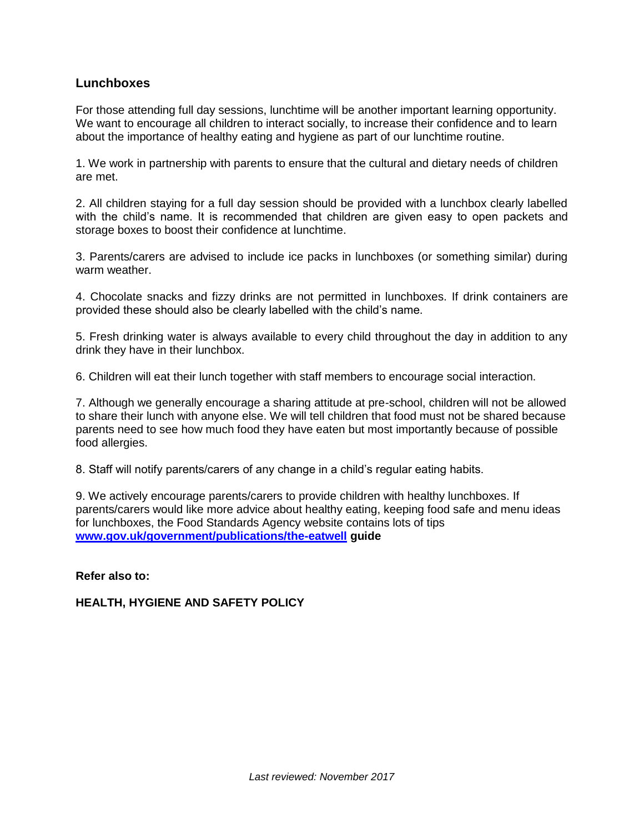#### **Lunchboxes**

For those attending full day sessions, lunchtime will be another important learning opportunity. We want to encourage all children to interact socially, to increase their confidence and to learn about the importance of healthy eating and hygiene as part of our lunchtime routine.

1. We work in partnership with parents to ensure that the cultural and dietary needs of children are met.

2. All children staying for a full day session should be provided with a lunchbox clearly labelled with the child's name. It is recommended that children are given easy to open packets and storage boxes to boost their confidence at lunchtime.

3. Parents/carers are advised to include ice packs in lunchboxes (or something similar) during warm weather.

4. Chocolate snacks and fizzy drinks are not permitted in lunchboxes. If drink containers are provided these should also be clearly labelled with the child's name.

5. Fresh drinking water is always available to every child throughout the day in addition to any drink they have in their lunchbox.

6. Children will eat their lunch together with staff members to encourage social interaction.

7. Although we generally encourage a sharing attitude at pre-school, children will not be allowed to share their lunch with anyone else. We will tell children that food must not be shared because parents need to see how much food they have eaten but most importantly because of possible food allergies.

8. Staff will notify parents/carers of any change in a child's regular eating habits.

9. We actively encourage parents/carers to provide children with healthy lunchboxes. If parents/carers would like more advice about healthy eating, keeping food safe and menu ideas for lunchboxes, the Food Standards Agency website contains lots of tips **[www.gov.uk/government/publications/the-eatwell](http://www.gov.uk/government/publications/the-eatwell) guide**

**Refer also to:**

#### **HEALTH, HYGIENE AND SAFETY POLICY**